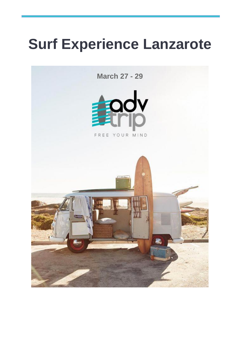# **Surf Experience Lanzarote**

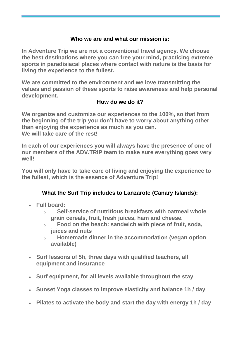#### **Who we are and what our mission is:**

**In Adventure Trip we are not a conventional travel agency. We choose the best destinations where you can free your mind, practicing extreme sports in paradisiacal places where contact with nature is the basis for living the experience to the fullest.**

**We are committed to the environment and we love transmitting the values and passion of these sports to raise awareness and help personal development.**

#### **How do we do it?**

**We organize and customize our experiences to the 100%, so that from the beginning of the trip you don't have to worry about anything other than enjoying the experience as much as you can. We will take care of the rest!**

**In each of our experiences you will always have the presence of one of our members of the ADV.TRIP team to make sure everything goes very well!**

**You will only have to take care of living and enjoying the experience to the fullest, which is the essence of Adventure Trip!**

## **What the Surf Trip includes to Lanzarote (Canary Islands):**

- **Full board:**
	- o **Self-service of nutritious breakfasts with oatmeal whole grain cereals, fruit, fresh juices, ham and cheese.**
	- o **Food on the beach: sandwich with piece of fruit, soda, juices and nuts**
	- o **Homemade dinner in the accommodation (vegan option available)**
- **Surf lessons of 5h, three days with qualified teachers, all equipment and insurance**
- **Surf equipment, for all levels available throughout the stay**
- **Sunset Yoga classes to improve elasticity and balance 1h / day**
- **Pilates to activate the body and start the day with energy 1h / day**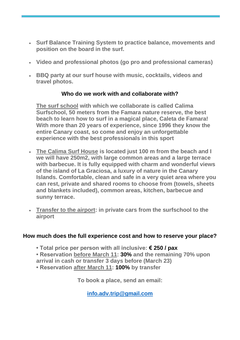- **Surf Balance Training System to practice balance, movements and position on the board in the surf.**
- **Video and professional photos (go pro and professional cameras)**
- **BBQ party at our surf house with music, cocktails, videos and travel photos.**

#### **Who do we work with and collaborate with?**

**The surf school with which we collaborate is called Calima Surfschool, 50 meters from the Famara nature reserve, the best beach to learn how to surf in a magical place, Caleta de Famara! With more than 20 years of experience, since 1996 they know the entire Canary coast, so come and enjoy an unforgettable experience with the best professionals in this sport**

- **The Calima Surf House is located just 100 m from the beach and I we will have 250m2, with large common areas and a large terrace with barbecue. It is fully equipped with charm and wonderful views of the island of La Graciosa, a luxury of nature in the Canary Islands. Comfortable, clean and safe in a very quiet area where you can rest, private and shared rooms to choose from (towels, sheets and blankets included), common areas, kitchen, barbecue and sunny terrace.**
- **Transfer to the airport: in private cars from the surfschool to the airport**

#### **How much does the full experience cost and how to reserve your place?**

- **Total price per person with all inclusive: € 250 / pax**
- **Reservation before March 11: 30% and the remaining 70% upon arrival in cash or transfer 3 days before (March 23)**
- **Reservation after March 11: 100% by transfer**

**To book a place, send an email:**

**[info.adv.trip@gmail.com](mailto:info.adv.trip@gmail.com)**